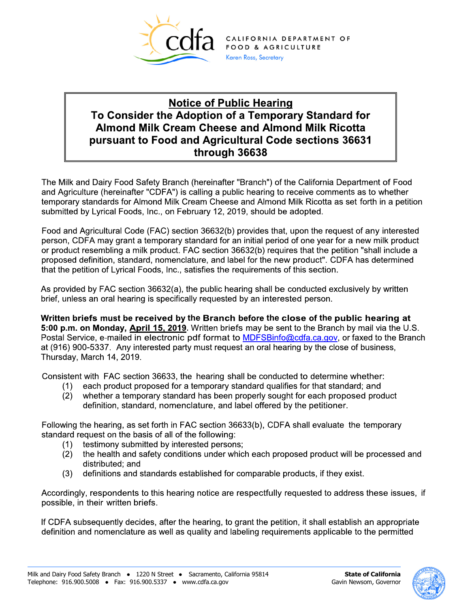

CALIFORNIA DEPARTMENT OF FOOD & AGRICULTURE Karen Ross, Secretary

## **Notice of Public Hearing To Consider the Adoption of a Temporary Standard for Almond Milk Cream Cheese and Almond Milk Ricotta pursuant to Food and Agricultural Code sections 36631 through 36638**

The Milk and Dairy Food Safety Branch (hereinafter "Branch") of the California Department of Food and Agriculture (hereinafter "CDFA") is calling a public hearing to receive comments as to whether temporary standards for Almond Milk Cream Cheese and Almond Milk Ricotta as set forth in a petition submitted by Lyrical Foods, Inc., on February 12, 2019, should be adopted.

Food and Agricultural Code (FAC) section 36632(b) provides that, upon the request of any interested person, CDFA may grant a temporary standard for an initial period of one year for a new milk product or product resembling a milk product. FAC section 36632(b) requires that the petition "shall include a proposed definition, standard, nomenclature, and label for the new product". CDFA has determined that the petition of Lyrical Foods, Inc., satisfies the requirements of this section.

As provided by FAC section 36632(a), the public hearing shall be conducted exclusively by written brief, unless an oral hearing is specifically requested by an interested person.

**Written briefs must be received by the Branch before the close of the public hearing at 5:00 p.m. on Monday, April 15, 2019.** Written briefs may be sent to the Branch by mail via the U.S. Postal Service, e-mailed in electronic pdf format to **MDFSBinfo@cdfa.ca.gov**, or faxed to the Branch at (916) 900-5337. Any interested party must request an oral hearing by the close of business, Thursday, March 14, 2019.

Consistent with FAC section 36633, the hearing shall be conducted to determine whether:

- (1) each product proposed for a temporary standard qualifies for that standard; and
- (2) whether a temporary standard has been properly sought for each proposed product definition, standard, nomenclature, and label offered by the petitioner.

Following the hearing, as set forth in FAC section 36633(b), CDFA shall evaluate the temporary standard request on the basis of all of the following:

- (1) testimony submitted by interested persons;
- (2) the health and safety conditions under which each proposed product will be processed and distributed; and
- (3) definitions and standards established for comparable products, if they exist.

Accordingly, respondents to this hearing notice are respectfully requested to address these issues, if possible, in their written briefs.

If CDFA subsequently decides, after the hearing, to grant the petition, it shall establish an appropriate definition and nomenclature as well as quality and labeling requirements applicable to the permitted